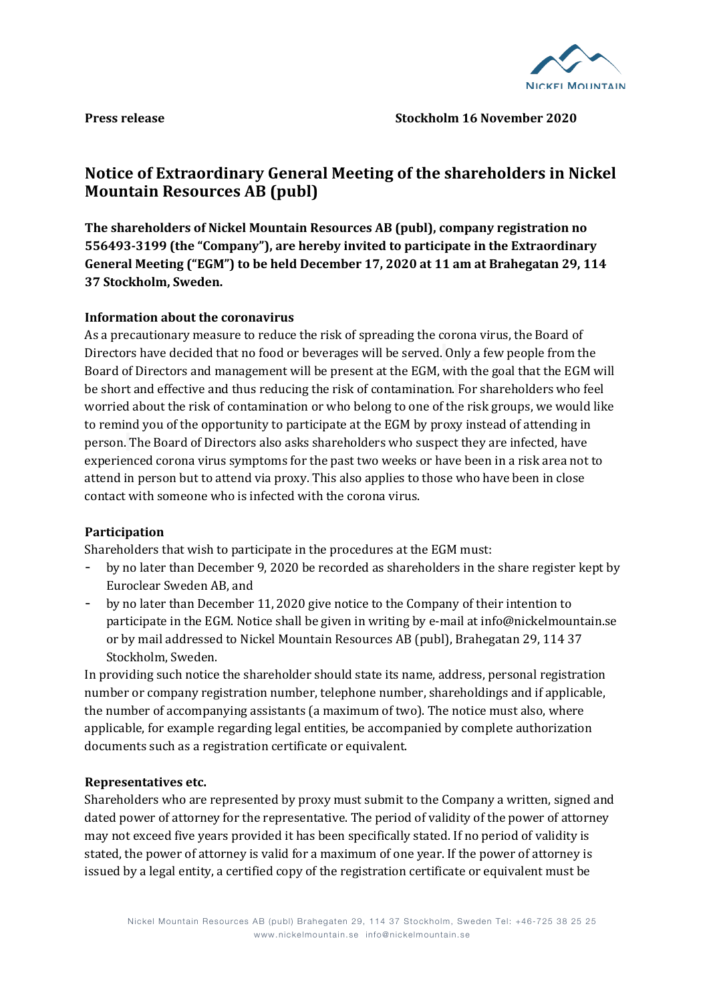

## **Press release Stockholm 16 November 2020**

# Notice of Extraordinary General Meeting of the shareholders in Nickel **Mountain Resources AB (publ)**

The shareholders of Nickel Mountain Resources AB (publ), company registration no **556493-3199** (the "Company"), are hereby invited to participate in the Extraordinary General Meeting ("EGM") to be held December 17, 2020 at 11 am at Brahegatan 29, 114 **37 Stockholm, Sweden.**

## **Information about the coronavirus**

As a precautionary measure to reduce the risk of spreading the corona virus, the Board of Directors have decided that no food or beverages will be served. Only a few people from the Board of Directors and management will be present at the EGM, with the goal that the EGM will be short and effective and thus reducing the risk of contamination. For shareholders who feel worried about the risk of contamination or who belong to one of the risk groups, we would like to remind you of the opportunity to participate at the EGM by proxy instead of attending in person. The Board of Directors also asks shareholders who suspect they are infected, have experienced corona virus symptoms for the past two weeks or have been in a risk area not to attend in person but to attend via proxy. This also applies to those who have been in close contact with someone who is infected with the corona virus.

## **Participation**

Shareholders that wish to participate in the procedures at the EGM must:

- by no later than December 9, 2020 be recorded as shareholders in the share register kept by Euroclear Sweden AB, and
- by no later than December 11, 2020 give notice to the Company of their intention to participate in the EGM. Notice shall be given in writing by e-mail at info@nickelmountain.se or by mail addressed to Nickel Mountain Resources AB (publ), Brahegatan 29, 114 37 Stockholm, Sweden.

In providing such notice the shareholder should state its name, address, personal registration number or company registration number, telephone number, shareholdings and if applicable, the number of accompanying assistants (a maximum of two). The notice must also, where applicable, for example regarding legal entities, be accompanied by complete authorization documents such as a registration certificate or equivalent.

## **Representatives etc.**

Shareholders who are represented by proxy must submit to the Company a written, signed and dated power of attorney for the representative. The period of validity of the power of attorney may not exceed five years provided it has been specifically stated. If no period of validity is stated, the power of attorney is valid for a maximum of one year. If the power of attorney is issued by a legal entity, a certified copy of the registration certificate or equivalent must be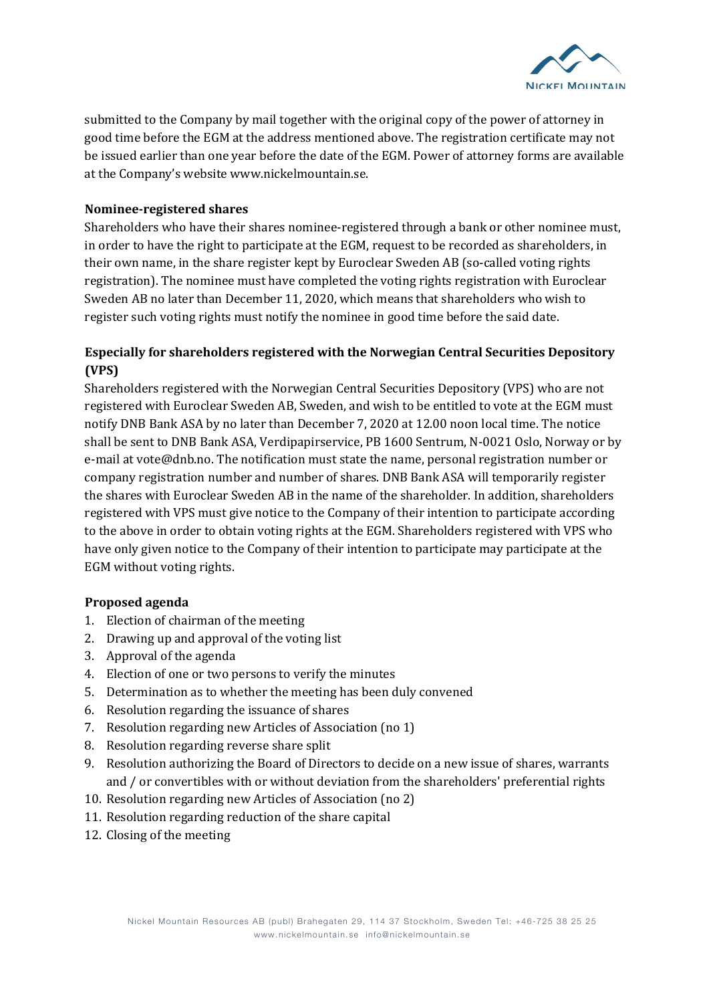

submitted to the Company by mail together with the original copy of the power of attorney in good time before the EGM at the address mentioned above. The registration certificate may not be issued earlier than one year before the date of the EGM. Power of attorney forms are available at the Company's website www.nickelmountain.se.

#### **Nominee-registered shares**

Shareholders who have their shares nominee-registered through a bank or other nominee must, in order to have the right to participate at the EGM, request to be recorded as shareholders, in their own name, in the share register kept by Euroclear Sweden AB (so-called voting rights registration). The nominee must have completed the voting rights registration with Euroclear Sweden AB no later than December 11, 2020, which means that shareholders who wish to register such voting rights must notify the nominee in good time before the said date.

## **Especially for shareholders registered with the Norwegian Central Securities Depository (VPS)**

Shareholders registered with the Norwegian Central Securities Depository (VPS) who are not registered with Euroclear Sweden AB, Sweden, and wish to be entitled to vote at the EGM must notify DNB Bank ASA by no later than December 7, 2020 at 12.00 noon local time. The notice shall be sent to DNB Bank ASA, Verdipapirservice, PB 1600 Sentrum, N-0021 Oslo, Norway or by e-mail at vote@dnb.no. The notification must state the name, personal registration number or company registration number and number of shares. DNB Bank ASA will temporarily register the shares with Euroclear Sweden AB in the name of the shareholder. In addition, shareholders registered with VPS must give notice to the Company of their intention to participate according to the above in order to obtain voting rights at the EGM. Shareholders registered with VPS who have only given notice to the Company of their intention to participate may participate at the EGM without voting rights.

#### **Proposed agenda**

- 1. Election of chairman of the meeting
- 2. Drawing up and approval of the voting list
- 3. Approval of the agenda
- 4. Election of one or two persons to verify the minutes
- 5. Determination as to whether the meeting has been duly convened
- 6. Resolution regarding the issuance of shares
- 7. Resolution regarding new Articles of Association (no 1)
- 8. Resolution regarding reverse share split
- 9. Resolution authorizing the Board of Directors to decide on a new issue of shares, warrants and / or convertibles with or without deviation from the shareholders' preferential rights
- 10. Resolution regarding new Articles of Association (no 2)
- 11. Resolution regarding reduction of the share capital
- 12. Closing of the meeting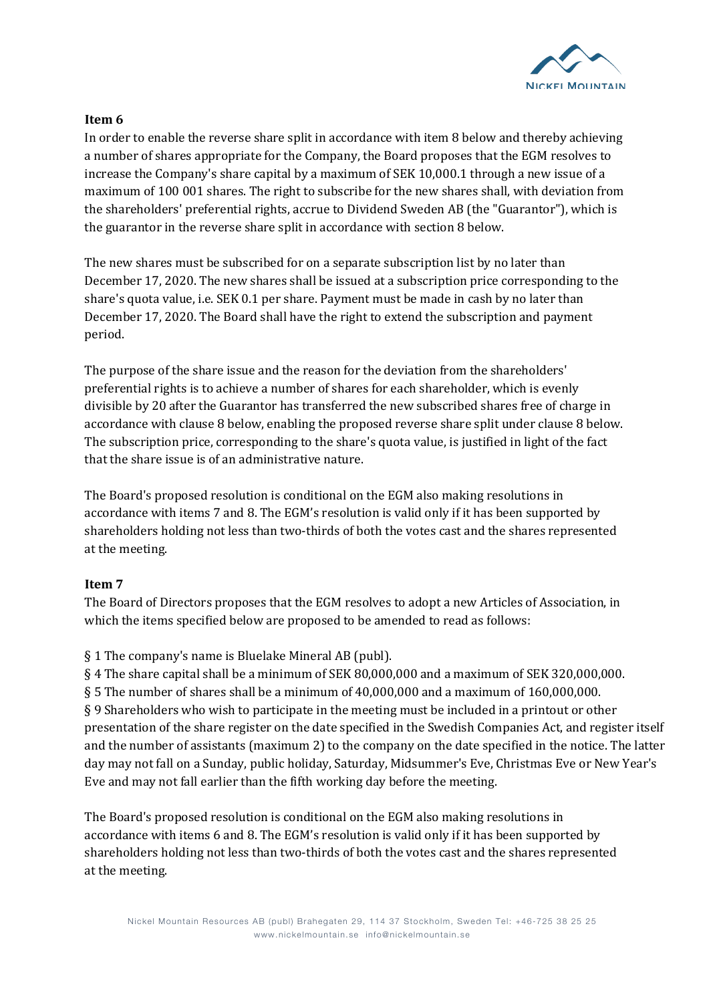

## **Item 6**

In order to enable the reverse share split in accordance with item 8 below and thereby achieving a number of shares appropriate for the Company, the Board proposes that the EGM resolves to increase the Company's share capital by a maximum of SEK 10,000.1 through a new issue of a maximum of 100 001 shares. The right to subscribe for the new shares shall, with deviation from the shareholders' preferential rights, accrue to Dividend Sweden AB (the "Guarantor"), which is the guarantor in the reverse share split in accordance with section 8 below.

The new shares must be subscribed for on a separate subscription list by no later than December 17, 2020. The new shares shall be issued at a subscription price corresponding to the share's quota value, i.e. SEK 0.1 per share. Payment must be made in cash by no later than December 17, 2020. The Board shall have the right to extend the subscription and payment period. 

The purpose of the share issue and the reason for the deviation from the shareholders' preferential rights is to achieve a number of shares for each shareholder, which is evenly divisible by 20 after the Guarantor has transferred the new subscribed shares free of charge in accordance with clause 8 below, enabling the proposed reverse share split under clause 8 below. The subscription price, corresponding to the share's quota value, is justified in light of the fact that the share issue is of an administrative nature.

The Board's proposed resolution is conditional on the EGM also making resolutions in accordance with items 7 and 8. The EGM's resolution is valid only if it has been supported by shareholders holding not less than two-thirds of both the votes cast and the shares represented at the meeting.

# **Item 7**

The Board of Directors proposes that the EGM resolves to adopt a new Articles of Association, in which the items specified below are proposed to be amended to read as follows:

§ 1 The company's name is Bluelake Mineral AB (publ).

 $\S 4$  The share capital shall be a minimum of SEK 80,000,000 and a maximum of SEK 320,000,000.  $\S 5$  The number of shares shall be a minimum of 40,000,000 and a maximum of 160,000,000. § 9 Shareholders who wish to participate in the meeting must be included in a printout or other presentation of the share register on the date specified in the Swedish Companies Act, and register itself and the number of assistants (maximum 2) to the company on the date specified in the notice. The latter day may not fall on a Sunday, public holiday, Saturday, Midsummer's Eve, Christmas Eve or New Year's Eve and may not fall earlier than the fifth working day before the meeting.

The Board's proposed resolution is conditional on the EGM also making resolutions in accordance with items 6 and 8. The EGM's resolution is valid only if it has been supported by shareholders holding not less than two-thirds of both the votes cast and the shares represented at the meeting.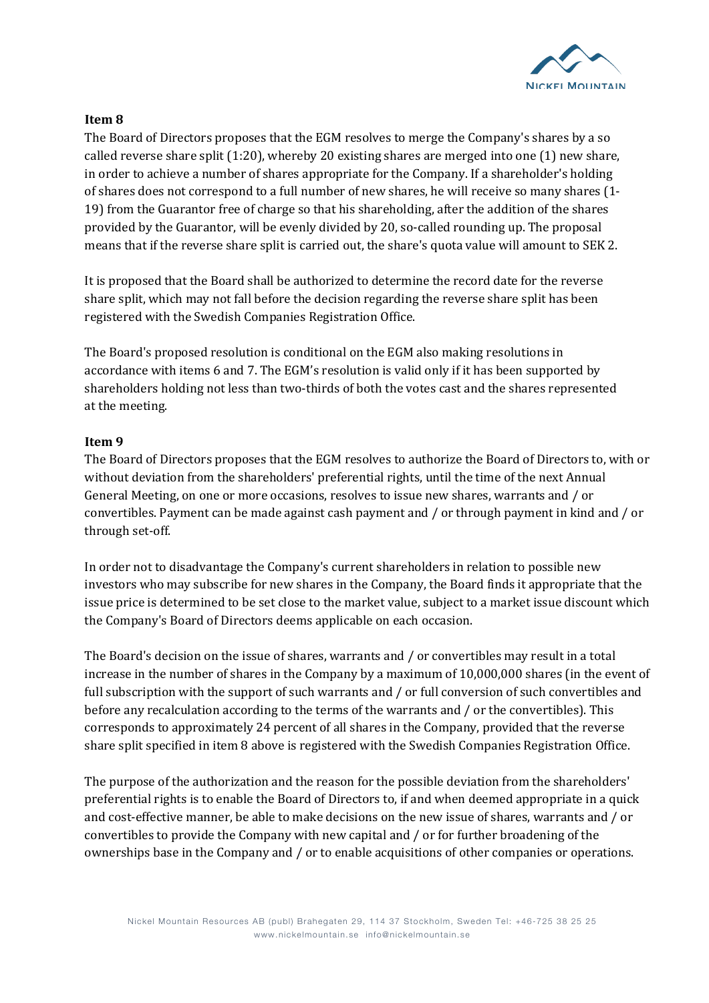

## **Item 8**

The Board of Directors proposes that the EGM resolves to merge the Company's shares by a so called reverse share split  $(1:20)$ , whereby 20 existing shares are merged into one  $(1)$  new share, in order to achieve a number of shares appropriate for the Company. If a shareholder's holding of shares does not correspond to a full number of new shares, he will receive so many shares (1-19) from the Guarantor free of charge so that his shareholding, after the addition of the shares provided by the Guarantor, will be evenly divided by 20, so-called rounding up. The proposal means that if the reverse share split is carried out, the share's quota value will amount to SEK 2.

It is proposed that the Board shall be authorized to determine the record date for the reverse share split, which may not fall before the decision regarding the reverse share split has been registered with the Swedish Companies Registration Office.

The Board's proposed resolution is conditional on the EGM also making resolutions in accordance with items 6 and 7. The EGM's resolution is valid only if it has been supported by shareholders holding not less than two-thirds of both the votes cast and the shares represented at the meeting.

## **Item 9**

The Board of Directors proposes that the EGM resolves to authorize the Board of Directors to, with or without deviation from the shareholders' preferential rights, until the time of the next Annual General Meeting, on one or more occasions, resolves to issue new shares, warrants and / or convertibles. Payment can be made against cash payment and / or through payment in kind and / or through set-off.

In order not to disadvantage the Company's current shareholders in relation to possible new investors who may subscribe for new shares in the Company, the Board finds it appropriate that the issue price is determined to be set close to the market value, subject to a market issue discount which the Company's Board of Directors deems applicable on each occasion.

The Board's decision on the issue of shares, warrants and / or convertibles may result in a total increase in the number of shares in the Company by a maximum of  $10,000,000$  shares (in the event of full subscription with the support of such warrants and / or full conversion of such convertibles and before any recalculation according to the terms of the warrants and / or the convertibles). This corresponds to approximately 24 percent of all shares in the Company, provided that the reverse share split specified in item 8 above is registered with the Swedish Companies Registration Office.

The purpose of the authorization and the reason for the possible deviation from the shareholders' preferential rights is to enable the Board of Directors to, if and when deemed appropriate in a quick and cost-effective manner, be able to make decisions on the new issue of shares, warrants and / or convertibles to provide the Company with new capital and  $/$  or for further broadening of the ownerships base in the Company and / or to enable acquisitions of other companies or operations.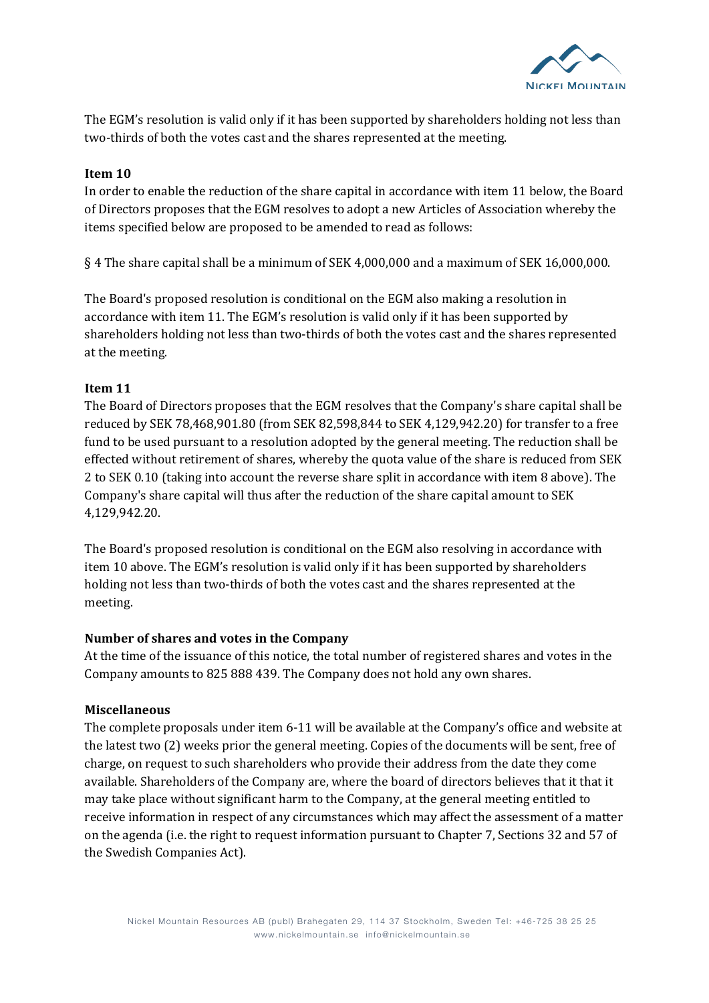

The EGM's resolution is valid only if it has been supported by shareholders holding not less than two-thirds of both the votes cast and the shares represented at the meeting.

#### **Item 10**

In order to enable the reduction of the share capital in accordance with item 11 below, the Board of Directors proposes that the EGM resolves to adopt a new Articles of Association whereby the items specified below are proposed to be amended to read as follows:

 $\S 4$  The share capital shall be a minimum of SEK 4,000,000 and a maximum of SEK 16,000,000.

The Board's proposed resolution is conditional on the EGM also making a resolution in accordance with item 11. The EGM's resolution is valid only if it has been supported by shareholders holding not less than two-thirds of both the votes cast and the shares represented at the meeting.

#### **Item 11**

The Board of Directors proposes that the EGM resolves that the Company's share capital shall be reduced by SEK 78,468,901.80 (from SEK 82,598,844 to SEK 4,129,942.20) for transfer to a free fund to be used pursuant to a resolution adopted by the general meeting. The reduction shall be effected without retirement of shares, whereby the quota value of the share is reduced from SEK 2 to SEK 0.10 (taking into account the reverse share split in accordance with item 8 above). The Company's share capital will thus after the reduction of the share capital amount to SEK 4,129,942.20.

The Board's proposed resolution is conditional on the EGM also resolving in accordance with item 10 above. The EGM's resolution is valid only if it has been supported by shareholders holding not less than two-thirds of both the votes cast and the shares represented at the meeting.

## **Number of shares and votes in the Company**

At the time of the issuance of this notice, the total number of registered shares and votes in the Company amounts to 825 888 439. The Company does not hold any own shares.

## **Miscellaneous**

The complete proposals under item  $6-11$  will be available at the Company's office and website at the latest two (2) weeks prior the general meeting. Copies of the documents will be sent, free of charge, on request to such shareholders who provide their address from the date they come available. Shareholders of the Company are, where the board of directors believes that it that it may take place without significant harm to the Company, at the general meeting entitled to receive information in respect of any circumstances which may affect the assessment of a matter on the agenda (i.e. the right to request information pursuant to Chapter 7, Sections 32 and 57 of the Swedish Companies Act).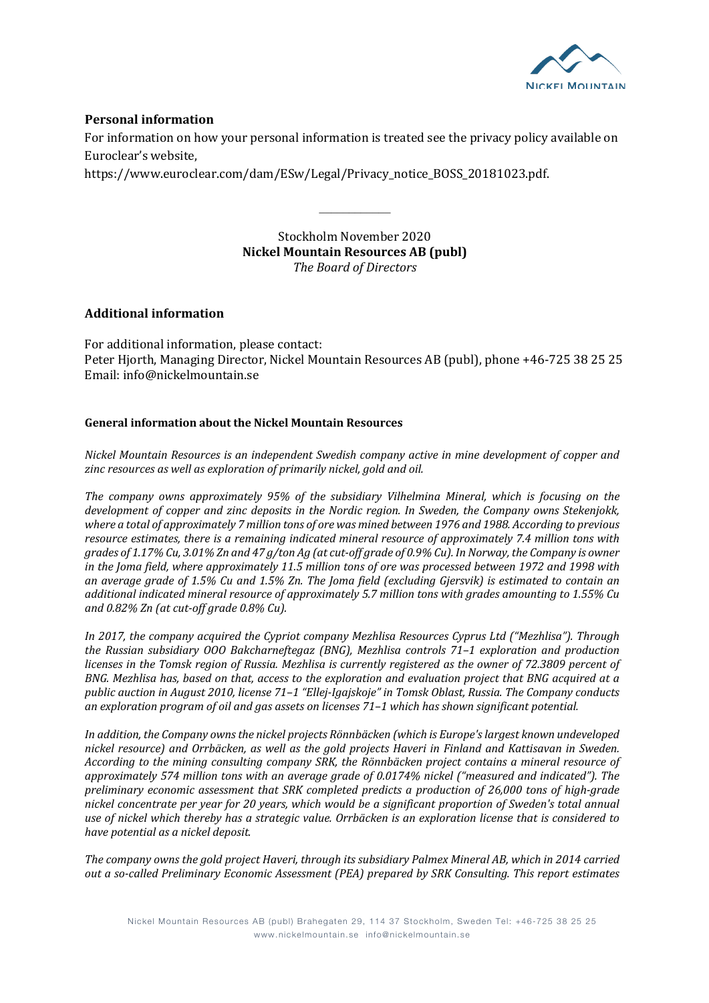

#### **Personal information**

For information on how your personal information is treated see the privacy policy available on Euroclear's website.

https://www.euroclear.com/dam/ESw/Legal/Privacy\_notice\_BOSS\_20181023.pdf.

Stockholm November 2020 **Nickel Mountain Resources AB (publ)** *The Board of Directors*

 $\frac{1}{2}$ 

#### **Additional information**

For additional information, please contact: Peter Hiorth, Managing Director, Nickel Mountain Resources AB (publ), phone +46-725 38 25 25 Email: info@nickelmountain.se

#### **General information about the Nickel Mountain Resources**

*Nickel Mountain Resources is an independent Swedish company active in mine development of copper and* zinc resources as well as exploration of primarily nickel, gold and oil.

The company owns approximately 95% of the subsidiary Vilhelmina Mineral, which is focusing on the *development of copper and zinc deposits in the Nordic region. In Sweden, the Company owns Stekenjokk,* where a total of approximately 7 million tons of ore was mined between 1976 and 1988. According to previous *resource estimates, there is a remaining indicated mineral resource of approximately 7.4 million tons with* grades of 1.17% Cu, 3.01% Zn and 47 g/ton Ag (at cut-off grade of 0.9% Cu). In Norway, the Company is owner in the Joma field, where approximately 11.5 million tons of ore was processed between 1972 and 1998 with an average grade of 1.5% Cu and 1.5% Zn. The Joma field (excluding Gjersvik) is estimated to contain an additional indicated mineral resource of approximately 5.7 million tons with grades amounting to 1.55% Cu *and 0.82% Zn (at cut-off grade 0.8% Cu).*

In 2017, the company acquired the Cypriot company Mezhlisa Resources Cyprus Ltd ("Mezhlisa"). Through *the Russian subsidiary OOO Bakcharneftegaz (BNG), Mezhlisa controls 71-1 exploration and production licenses in the Tomsk region of Russia. Mezhlisa is currently registered as the owner of 72.3809 percent of BNG.* Mezhlisa has, based on that, access to the exploration and evaluation project that BNG acquired at a *public auction in August 2010, license 71–1 "Ellej-Igajskoje" in Tomsk Oblast, Russia. The Company conducts* an exploration program of oil and gas assets on licenses 71-1 which has shown significant potential.

In addition, the Company owns the nickel projects Rönnbäcken (which is Europe's largest known undeveloped nickel resource) and Orrbäcken, as well as the gold projects Haveri in Finland and Kattisavan in Sweden. *According* to the mining consulting company SRK, the Rönnbäcken project contains a mineral resource of approximately 574 million tons with an average grade of 0.0174% nickel ("measured and indicated"). The *preliminary economic assessment that SRK completed predicts a production of 26,000 tons of high-grade* nickel concentrate per year for 20 years, which would be a significant proportion of Sweden's total annual use of nickel which thereby has a strategic value. Orrbäcken is an exploration license that is considered to *have potential as a nickel deposit.*

The company owns the gold project Haveri, through its subsidiary Palmex Mineral AB, which in 2014 carried *out a so-called Preliminary Economic Assessment (PEA) prepared by SRK Consulting. This report estimates*